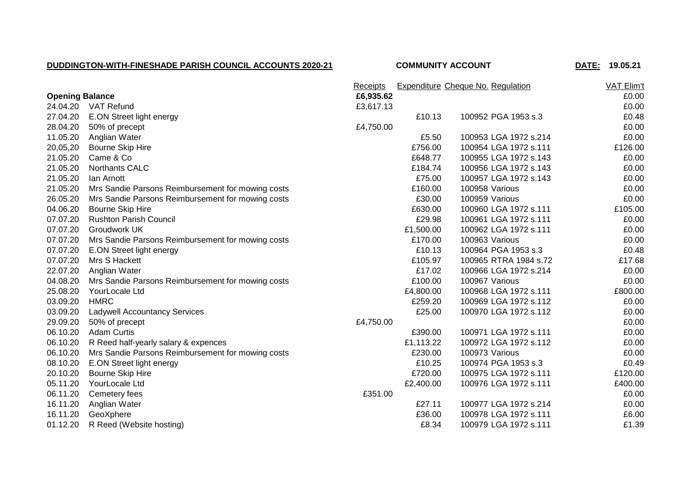## **DUDDINGTON-WITH-FINESHADE PARISH COUNCIL ACCOUNTS 2020-21 COMMUNITY ACCOUNT DATE: 19.05.21**

|                        | Receipts                                          |           |           | <b>Expenditure Cheque No. Regulation</b> | VAT Elim't |
|------------------------|---------------------------------------------------|-----------|-----------|------------------------------------------|------------|
| <b>Opening Balance</b> |                                                   | £6,935.62 |           |                                          | £0.00      |
| 24.04.20               | VAT Refund                                        | £3,617.13 |           |                                          | £0.00      |
| 27.04.20               | E.ON Street light energy                          |           | £10.13    | 100952 PGA 1953 s.3                      | £0.48      |
| 28.04.20               | 50% of precept                                    | £4,750.00 |           |                                          | £0.00      |
| 11.05.20               | Anglian Water                                     |           | £5.50     | 100953 LGA 1972 s.214                    | £0.00      |
| 20,05,20               | <b>Bourne Skip Hire</b>                           |           | £756.00   | 100954 LGA 1972 s.111                    | £126.00    |
| 21.05.20               | Came & Co                                         |           | £648.77   | 100955 LGA 1972 s.143                    | £0.00      |
| 21.05.20               | Northants CALC                                    |           | £184.74   | 100956 LGA 1972 s.143                    | £0.00      |
| 21.05.20               | lan Arnott                                        |           | £75.00    | 100957 LGA 1972 s.143                    | £0.00      |
| 21.05.20               | Mrs Sandie Parsons Reimbursement for mowing costs |           | £160.00   | 100958 Various                           | £0.00      |
| 26.05.20               | Mrs Sandie Parsons Reimbursement for mowing costs |           | £30.00    | 100959 Various                           | £0.00      |
| 04.06.20               | <b>Bourne Skip Hire</b>                           |           | £630.00   | 100960 LGA 1972 s.111                    | £105.00    |
| 07.07.20               | <b>Rushton Parish Council</b>                     |           | £29.98    | 100961 LGA 1972 s.111                    | £0.00      |
| 07.07.20               | <b>Groudwork UK</b>                               |           | £1,500.00 | 100962 LGA 1972 s.111                    | £0.00      |
| 07.07.20               | Mrs Sandie Parsons Reimbursement for mowing costs |           | £170.00   | 100963 Various                           | £0.00      |
| 07.07.20               | E.ON Street light energy                          |           | £10.13    | 100964 PGA 1953 s.3                      | £0.48      |
| 07.07.20               | Mrs S Hackett                                     |           | £105.97   | 100965 RTRA 1984 s.72                    | £17.68     |
| 22.07.20               | Anglian Water                                     |           | £17.02    | 100966 LGA 1972 s.214                    | £0.00      |
| 04.08.20               | Mrs Sandie Parsons Reimbursement for mowing costs |           | £100.00   | 100967 Various                           | £0.00      |
| 25.08.20               | YourLocale Ltd                                    |           | £4,800.00 | 100968 LGA 1972 s.111                    | £800.00    |
| 03.09.20               | <b>HMRC</b>                                       |           | £259.20   | 100969 LGA 1972 s.112                    | £0.00      |
| 03.09.20               | <b>Ladywell Accountancy Services</b>              |           | £25.00    | 100970 LGA 1972 s.112                    | £0.00      |
| 29.09.20               | 50% of precept                                    | £4,750.00 |           |                                          | £0.00      |
| 06.10.20               | <b>Adam Curtis</b>                                |           | £390.00   | 100971 LGA 1972 s.111                    | £0.00      |
| 06.10.20               | R Reed half-yearly salary & expences              |           | £1,113.22 | 100972 LGA 1972 s.112                    | £0.00      |
| 06.10.20               | Mrs Sandie Parsons Reimbursement for mowing costs |           | £230.00   | 100973 Various                           | £0.00      |
| 08.10.20               | E.ON Street light energy                          |           | £10.25    | 100974 PGA 1953 s.3                      | £0.49      |
| 20.10.20               | <b>Bourne Skip Hire</b>                           |           | £720.00   | 100975 LGA 1972 s.111                    | £120.00    |
| 05.11.20               | YourLocale Ltd                                    |           | £2,400.00 | 100976 LGA 1972 s.111                    | £400.00    |
| 06.11.20               | Cemetery fees                                     | £351.00   |           |                                          | £0.00      |
| 16.11.20               | Anglian Water                                     |           | £27.11    | 100977 LGA 1972 s.214                    | £0.00      |
| 16.11.20               | GeoXphere                                         |           | £36.00    | 100978 LGA 1972 s.111                    | £6.00      |
| 01.12.20               | R Reed (Website hosting)                          |           | £8.34     | 100979 LGA 1972 s.111                    | £1.39      |